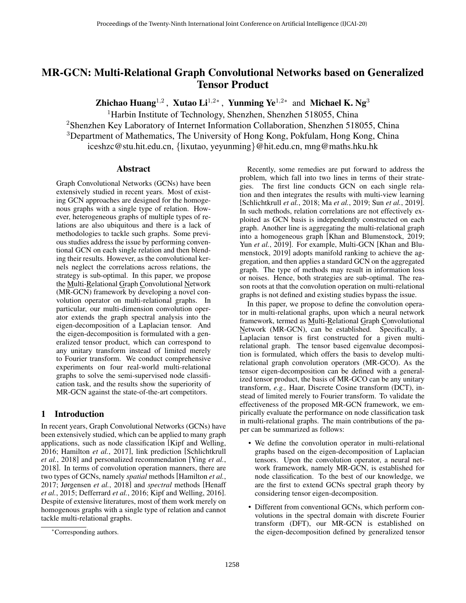# <span id="page-0-0"></span>MR-GCN: Multi-Relational Graph Convolutional Networks based on Generalized Tensor Product

Zhichao Huang<sup>1,2</sup>, Xutao Li<sup>1,2\*</sup>, Yunming Ye<sup>1,2\*</sup> and Michael K. Ng<sup>3</sup>

<sup>1</sup>Harbin Institute of Technology, Shenzhen, Shenzhen 518055, China

<sup>2</sup>Shenzhen Key Laboratory of Internet Information Collaboration, Shenzhen 518055, China <sup>3</sup>Department of Mathematics, The University of Hong Kong, Pokfulam, Hong Kong, China iceshzc@stu.hit.edu.cn, {lixutao, yeyunming}@hit.edu.cn, mng@maths.hku.hk

### Abstract

Graph Convolutional Networks (GCNs) have been extensively studied in recent years. Most of existing GCN approaches are designed for the homogenous graphs with a single type of relation. However, heterogeneous graphs of multiple types of relations are also ubiquitous and there is a lack of methodologies to tackle such graphs. Some previous studies address the issue by performing conventional GCN on each single relation and then blending their results. However, as the convolutional kernels neglect the correlations across relations, the strategy is sub-optimal. In this paper, we propose the Multi-Relational Graph Convolutional Network (MR-GCN) framework by developing a novel convolution operator on multi-relational graphs. In particular, our multi-dimension convolution operator extends the graph spectral analysis into the eigen-decomposition of a Laplacian tensor. And the eigen-decomposition is formulated with a generalized tensor product, which can correspond to any unitary transform instead of limited merely to Fourier transform. We conduct comprehensive experiments on four real-world multi-relational graphs to solve the semi-supervised node classification task, and the results show the superiority of MR-GCN against the state-of-the-art competitors.

### 1 Introduction

In recent years, Graph Convolutional Networks (GCNs) have been extensively studied, which can be applied to many graph applications, such as node classification [\[Kipf and Welling,](#page-6-0) [2016;](#page-6-0) [Hamilton](#page-6-1) *et al.*, 2017], link prediction [\[Schlichtkrull](#page-6-2) *et al.*[, 2018\]](#page-6-2) and personalized recommendation [\[Ying](#page-6-3) *et al.*, [2018\]](#page-6-3). In terms of convolution operation manners, there are two types of GCNs, namely *spatial* methods [\[Hamilton](#page-6-1) *et al.*, [2017;](#page-6-1) [Jørgensen](#page-6-4) *et al.*, 2018] and *spectral* methods [\[Henaff](#page-6-5) *et al.*[, 2015;](#page-6-5) [Defferrard](#page-6-6) *et al.*, 2016; [Kipf and Welling, 2016\]](#page-6-0). Despite of extensive literatures, most of them work merely on homogenous graphs with a single type of relation and cannot tackle multi-relational graphs.

Recently, some remedies are put forward to address the problem, which fall into two lines in terms of their strategies. The first line conducts GCN on each single relation and then integrates the results with multi-view learning [\[Schlichtkrull](#page-6-2) *et al.*, 2018; Ma *et al.*[, 2019;](#page-6-7) Sun *et al.*[, 2019\]](#page-6-8). In such methods, relation correlations are not effectively exploited as GCN basis is independently constructed on each graph. Another line is aggregating the multi-relational graph into a homogeneous graph [\[Khan and Blumenstock, 2019;](#page-6-9) Yun *et al.*[, 2019\]](#page-6-10). For example, Multi-GCN [\[Khan and Blu](#page-6-9)[menstock, 2019\]](#page-6-9) adopts manifold ranking to achieve the aggregation, and then applies a standard GCN on the aggregated graph. The type of methods may result in information loss or noises. Hence, both strategies are sub-optimal. The reason roots at that the convolution operation on multi-relational graphs is not defined and existing studies bypass the issue.

In this paper, we propose to define the convolution operator in multi-relational graphs, upon which a neural network framework, termed as Multi-Relational Graph Convolutional Network (MR-GCN), can be established. Specifically, a Laplacian tensor is first constructed for a given multirelational graph. The tensor based eigenvalue decomposition is formulated, which offers the basis to develop multirelational graph convolution operators (MR-GCO). As the tensor eigen-decomposition can be defined with a generalized tensor product, the basis of MR-GCO can be any unitary transform, *e.g.,* Haar, Discrete Cosine transform (DCT), instead of limited merely to Fourier transform. To validate the effectiveness of the proposed MR-GCN framework, we empirically evaluate the performance on node classification task in multi-relational graphs. The main contributions of the paper can be summarized as follows:

- We define the convolution operator in multi-relational graphs based on the eigen-decomposition of Laplacian tensors. Upon the convolution operator, a neural network framework, namely MR-GCN, is established for node classification. To the best of our knowledge, we are the first to extend GCNs spectral graph theory by considering tensor eigen-decomposition.
- Different from conventional GCNs, which perform convolutions in the spectral domain with discrete Fourier transform (DFT), our MR-GCN is established on the eigen-decomposition defined by generalized tensor

<sup>∗</sup>Corresponding authors.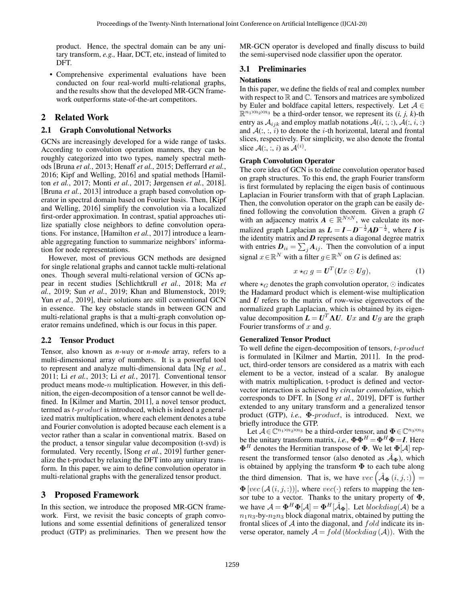product. Hence, the spectral domain can be any unitary transform, *e.g.,* Haar, DCT, etc, instead of limited to DFT.

• Comprehensive experimental evaluations have been conducted on four real-world multi-relational graphs, and the results show that the developed MR-GCN framework outperforms state-of-the-art competitors.

### 2 Related Work

#### 2.1 Graph Convolutional Networks

GCNs are increasingly developed for a wide range of tasks. According to convolution operation manners, they can be roughly categorized into two types, namely spectral methods [\[Bruna](#page-6-11) *et al.*, 2013; [Henaff](#page-6-5) *et al.*, 2015; [Defferrard](#page-6-6) *et al.*, [2016;](#page-6-6) [Kipf and Welling, 2016\]](#page-6-0) and spatial methods [\[Hamil](#page-6-1)ton *et al.*[, 2017;](#page-6-1) Monti *et al.*[, 2017;](#page-6-12) [Jørgensen](#page-6-4) *et al.*, 2018]. [Bruna *et al.*[, 2013\]](#page-6-11) introduce a graph based convolution operator in spectral domain based on Fourier basis. Then, [\[Kipf](#page-6-0) [and Welling, 2016\]](#page-6-0) simplify the convolution via a localized first-order approximation. In contrast, spatial approaches utilize spatially close neighbors to define convolution operations. For instance, [\[Hamilton](#page-6-1) *et al.*, 2017] introduce a learnable aggregating function to summarize neighbors' information for node representations.

However, most of previous GCN methods are designed for single relational graphs and cannot tackle multi-relational ones. Though several multi-relational version of GCNs appear in recent studies [\[Schlichtkrull](#page-6-2) *et al.*, 2018; [Ma](#page-6-7) *et al.*[, 2019;](#page-6-7) Sun *et al.*[, 2019;](#page-6-8) [Khan and Blumenstock, 2019;](#page-6-9) Yun *et al.*[, 2019\]](#page-6-10), their solutions are still conventional GCN in essence. The key obstacle stands in between GCN and multi-relational graphs is that a multi-graph convolution operator remains undefined, which is our focus in this paper.

### 2.2 Tensor Product

Tensor, also known as *n-way* or *n-mode* array, refers to a multi-dimensional array of numbers. It is a powerful tool to represent and analyze multi-dimensional data [Ng *[et al.](#page-6-13)*, [2011;](#page-6-13) Li *et al.*[, 2013;](#page-6-14) Li *et al.*[, 2017\]](#page-6-15). Conventional tensor product means mode- $n$  multiplication. However, in this definition, the eigen-decomposition of a tensor cannot be well defined. In [\[Kilmer and Martin, 2011\]](#page-6-16), a novel tensor product, termed as *t-product* is introduced, which is indeed a generalized matrix multiplication, where each element denotes a tube and Fourier convolution is adopted because each element is a vector rather than a scalar in conventional matrix. Based on the product, a tensor singular value decomposition (t-svd) is formulated. Very recently, [Song *et al.*[, 2019\]](#page-6-17) further generalize the t-product by relaxing the DFT into any unitary transform. In this paper, we aim to define convolution operator in multi-relational graphs with the generalized tensor product.

### 3 Proposed Framework

In this section, we introduce the proposed MR-GCN framework. First, we revisit the basic concepts of graph convolutions and some essential definitions of generalized tensor product (GTP) as preliminaries. Then we present how the MR-GCN operator is developed and finally discuss to build the semi-supervised node classifier upon the operator.

### 3.1 Preliminaries

#### **Notations**

In this paper, we define the fields of real and complex number with respect to  $\mathbb R$  and  $\mathbb C$ . Tensors and matrices are symbolized by Euler and boldface capital letters, respectively. Let  $A \in$  $\mathbb{R}^{n_1 \times n_2 \times n_3}$  be a third-order tensor, we represent its  $(i, j, k)$ -th entry as  $A_{ijk}$  and employ matlab notations  $A(i, :, :, A(:, i, :)$ and  $A($ ; ; i) to denote the *i*-th horizontal, lateral and frontal slices, respectively. For simplicity, we also denote the frontal slice  $A(:, :, i)$  as  $A^{(i)}$ .

#### Graph Convolution Operator

The core idea of GCN is to define convolution operator based on graph structures. To this end, the graph Fourier transform is first formulated by replacing the eigen basis of continuous Laplacian in Fourier transform with that of graph Laplacian. Then, the convolution operator on the graph can be easily defined following the convolution theorem. Given a graph  $G$ with an adjacency matrix  $A \in \mathbb{R}^{N \times N}$ , we calculate its normalized graph Laplacian as  $L = I - D^{-\frac{1}{2}}AD^{-\frac{1}{2}}$ , where *I* is the identity matrix and *D* represents a diagonal degree matrix with entries  $D_{ii} = \sum_j A_{ij}$ . Then the convolution of a input signal  $x \in \mathbb{R}^N$  with a filter  $g \in \mathbb{R}^N$  on G is defined as:

$$
x \star_G g = \mathbf{U}^T (\mathbf{U} x \odot \mathbf{U} g), \tag{1}
$$

where  $\star_G$  denotes the graph convolution operator,  $\odot$  indicates the Hadamard product which is element-wise multiplication and *U* refers to the matrix of row-wise eigenvectors of the normalized graph Laplacian, which is obtained by its eigenvalue decomposition  $\boldsymbol{L} = \boldsymbol{U}^T \boldsymbol{\Lambda} \boldsymbol{U}$ .  $Ux$  and  $Ug$  are the graph Fourier transforms of  $x$  and  $q$ .

### Generalized Tensor Product

To well define the eigen-decomposition of tensors, t-product is formulated in [\[Kilmer and Martin, 2011\]](#page-6-16). In the product, third-order tensors are considered as a matrix with each element to be a vector, instead of a scalar. By analogue with matrix multiplication, t-product is defined and vectorvector interaction is achieved by *circular convolution*, which corresponds to DFT. In [Song *et al.*[, 2019\]](#page-6-17), DFT is further extended to any unitary transform and a generalized tensor product (GTP), *i.e.,* Φ-product, is introduced. Next, we briefly introduce the GTP.

Let  $A \in \mathbb{C}^{n_1 \times n_2 \times n_3}$  be a third-order tensor, and  $\Phi \in \mathbb{C}^{n_3 \times n_3}$ be the unitary transform matrix, *i.e.*,  $\mathbf{\Phi} \mathbf{\Phi}^H = \mathbf{\Phi}^H \mathbf{\Phi} = I$ . Here  $\mathbf{\Phi}^H$  denotes the Hermitian transpose of  $\mathbf{\Phi}$ . We let  $\mathbf{\Phi}[\mathcal{A}]$  represent the transformed tensor (also denoted as  $\hat{A}_{\Phi}$ ), which is obtained by applying the transform  $\Phi$  to each tube along the third dimension. That is, we have  $vec(\hat{A}_{\Phi}(i,j,:))$  =  $\Phi$  [vec ( $A(i, j, :)$ )], where vec(·) refers to mapping the tensor tube to a vector. Thanks to the unitary property of  $\Phi$ , we have  $A = \mathbf{\Phi}^H \mathbf{\Phi}[\mathcal{A}] = \mathbf{\Phi}^H[\hat{\mathcal{A}}_{\mathbf{\Phi}}]$ . Let  $blockdiag(\mathcal{A})$  be a  $n_1n_3$ -by- $n_2n_3$  block diagonal matrix, obtained by putting the frontal slices of  $A$  into the diagonal, and  $fold$  indicate its inverse operator, namely  $A = fold (blockdiag(A))$ . With the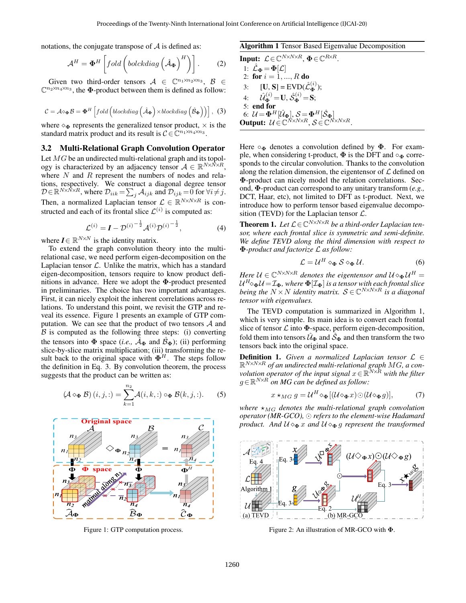notations, the conjugate transpose of  $A$  is defined as:

$$
\mathcal{A}^H = \mathbf{\Phi}^H \left[ fold \left(boldhat{d}\mathbf{\Phi} \right)^H \right) \right].
$$
 (2)

Given two third-order tensors  $A \in \mathbb{C}^{n_1 \times n_2 \times n_3}$ ,  $B \in$  $\mathbb{C}^{n_2 \times n_4 \times n_3}$ , the  $\Phi$ -product between them is defined as follow:

<span id="page-2-1"></span>
$$
C = \mathcal{A} \diamond_{\mathbf{\Phi}} \mathcal{B} = \mathbf{\Phi}^H \left[ \text{fold} \left( \text{blockdiag} \left( \hat{\mathcal{A}}_{\mathbf{\Phi}} \right) \times \text{blockdiag} \left( \hat{\mathcal{B}}_{\mathbf{\Phi}} \right) \right) \right], (3)
$$

where  $\Diamond_{\Phi}$  represents the generalized tensor product,  $\times$  is the standard matrix product and its result is  $C \in \mathbb{C}^{n_1 \times n_4 \times n_3}$ .

### 3.2 Multi-Relational Graph Convolution Operator

Let MG be an undirected multi-relational graph and its topology is characterized by an adjacency tensor  $A \in \mathbb{R}^{N \times N \times R}$ , where  $N$  and  $R$  represent the numbers of nodes and relations, respectively. We construct a diagonal degree tensor  $\mathcal{D} \in \mathbb{R}^{N \times N \times R}$ , where  $\mathcal{D}_{iik} = \sum_j \mathcal{A}_{ijk}$  and  $\mathcal{D}_{ijk} = 0$  for  $\forall i \neq j$ . Then, a normalized Laplacian tensor  $\mathcal{L} \in \mathbb{R}^{N \times N \times R}$  is constructed and each of its frontal slice  $\mathcal{L}^{(i)}$  is computed as:

$$
\mathcal{L}^{(i)} = \mathbf{I} - \mathcal{D}^{(i)^{-\frac{1}{2}}} \mathcal{A}^{(i)} \mathcal{D}^{(i)^{-\frac{1}{2}}},
$$
(4)

where  $I \in \mathbb{R}^{N \times N}$  is the identity matrix.

To extend the graph convolution theory into the multirelational case, we need perform eigen-decomposition on the Laplacian tensor  $\mathcal{L}$ . Unlike the matrix, which has a standard eigen-decomposition, tensors require to know product definitions in advance. Here we adopt the Φ-product presented in preliminaries. The choice has two important advantages. First, it can nicely exploit the inherent correlations across relations. To understand this point, we revisit the GTP and reveal its essence. Figure [1](#page-2-0) presents an example of GTP computation. We can see that the product of two tensors  $A$  and  $\beta$  is computed as the following three steps: (i) converting the tensors into  $\Phi$  space (*i.e.*,  $\mathcal{A}_{\Phi}$  and  $\mathcal{B}_{\Phi}$ ); (ii) performing slice-by-slice matrix multiplication; (iii) transforming the result back to the original space with  $\mathbf{\Phi}^H$ . The steps follow the definition in Eq. [3.](#page-2-1) By convolution theorem, the process suggests that the product can be written as:

$$
(\mathcal{A} \diamond_{\mathbf{\Phi}} \mathcal{B}) (i, j, :) = \sum_{k=1}^{n_2} \mathcal{A}(i, k, :) \circ_{\mathbf{\Phi}} \mathcal{B}(k, j, :).
$$
 (5)

<span id="page-2-0"></span>

Figure 1: GTP computation process.

#### <span id="page-2-4"></span><span id="page-2-2"></span>Algorithm 1 Tensor Based Eigenvalue Decomposition

Input:  $\mathcal{L} \in \mathbb{C}^{N \times N \times R}$ ,  $\mathbf{\Phi} \in \mathbb{C}^{R \times R}$ . 1:  $\hat{\mathcal{L}}_{\Phi} = \Phi[\mathcal{L}]$ 2: for  $i = 1, ..., R$  do 3:  $[**U**, **S**] = \text{EVD}(\hat{\mathcal{L}}_{\Phi}^{(i)});$ 4:  $\hat{\mathcal{U}}_{\bf \Phi}^{(i)}$  = U,  $\hat{\mathcal{S}}_{\bf \Phi}^{(i)}$  = S; 5: end for 6:  $\mathcal{U} = \mathbf{\Phi}^H[\hat{\mathcal{U}}_{\mathbf{\Phi}}], \mathcal{S} = \mathbf{\Phi}^H[\hat{\mathcal{S}}_{\mathbf{\Phi}}]$ **Output:**  $\mathcal{U} \in \mathbb{C}^{N \times N \times R}$ ,  $\mathcal{S} \in \mathbb{C}^{N \times N \times R}$ .

Here  $\circ_{\Phi}$  denotes a convolution defined by  $\Phi$ . For example, when considering t-product,  $\Phi$  is the DFT and  $\circ_{\Phi}$  corresponds to the circular convolution. Thanks to the convolution along the relation dimension, the eigentensor of  $\mathcal L$  defined on Φ-product can nicely model the relation correlations. Second, Φ-product can correspond to any unitary transform (*e.g.,* DCT, Haar, etc), not limited to DFT as t-product. Next, we introduce how to perform tensor based eigenvalue decomposition (TEVD) for the Laplacian tensor  $\mathcal{L}$ .

**Theorem 1.** Let  $\mathcal{L} \in \mathbb{C}^{N \times N \times R}$  be a third-order Laplacian ten*sor, where each frontal slice is symmetric and semi-definite. We define TEVD along the third dimension with respect to* Φ*-product and factorize* L *as follow:*

<span id="page-2-5"></span>
$$
\mathcal{L} = \mathcal{U}^H \diamond_{\mathbf{\Phi}} \mathcal{S} \diamond_{\mathbf{\Phi}} \mathcal{U}.
$$
 (6)

Here  $\mathcal{U} \in \mathbb{C}^{N \times N \times R}$  denotes the eigentensor and  $\mathcal{U} \diamond_{\bf \Phi} \mathcal{U}^H =$  $\mathcal{U}^H \diamond_{\bf \Phi} \mathcal{U} \!=\! \mathcal{I}_{\bf \Phi}$ , where  ${\bf \Phi}[\mathcal{I}_{\bf \Phi}]$  is a tensor with each frontal slice *being the*  $N \times N$  *identity matrix.*  $S \in \mathbb{C}^{N \times N \times R}$  *is a diagonal tensor with eigenvalues.*

The TEVD computation is summarized in Algorithm [1,](#page-2-2) which is very simple. Its main idea is to convert each frontal slice of tensor  $\mathcal L$  into  $\Phi$ -space, perform eigen-decomposition, fold them into tensors  $U_{\Phi}$  and  $S_{\Phi}$  and then transform the two tensors back into the original space.

**Definition 1.** *Given a normalized Laplacian tensor*  $\mathcal{L} \in$ R <sup>N</sup>×N×<sup>R</sup> *of an undirected multi-relational graph* MG*, a con* $v$ *olution operator of the input signal*  $x\in\mathbb{R}^{N\times R}$  with the filter g∈R <sup>N</sup>×<sup>R</sup> *on MG can be defined as follow:*

<span id="page-2-6"></span>
$$
x \star_{MG} g = \mathcal{U}^H \diamond_{\Phi} [(\mathcal{U} \diamond_{\Phi} x) \odot (\mathcal{U} \diamond_{\Phi} g)], \tag{7}
$$

*where*  $\star_{MG}$  *denotes the multi-relational graph convolution operator (MR-GCO), refers to the element-wise Hadamard product.* And  $U \otimes_{\Phi} x$  and  $U \otimes_{\Phi} q$  represent the transformed

<span id="page-2-3"></span>

Figure 2: An illustration of MR-GCO with Φ.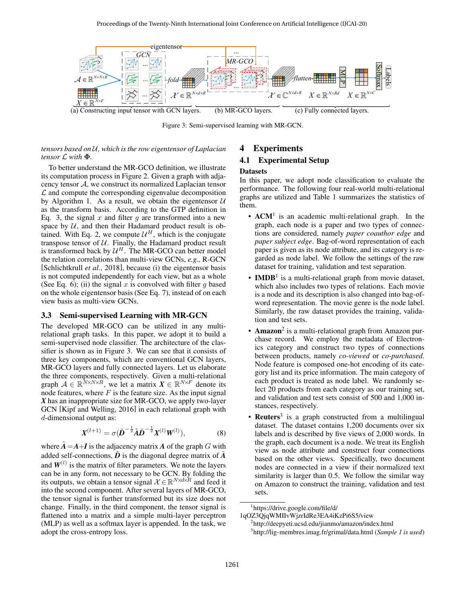<span id="page-3-0"></span>

Figure 3: Semi-supervised learning with MR-GCN.

#### *tensors based on* U*, which is the row eigentensor of Laplacian tensor* L *with* Φ*.*

To better understand the MR-GCO definition, we illustrate its computation process in Figure [2.](#page-2-3) Given a graph with adjacency tensor  $A$ , we construct its normalized Laplacian tensor  $\mathcal L$  and compute the corresponding eigenvalue decomposition by Algorithm [1.](#page-2-2) As a result, we obtain the eigentensor  $U$ as the transform basis. According to the GTP definition in Eq. [3,](#page-2-1) the signal  $x$  and filter  $g$  are transformed into a new space by  $U$ , and then their Hadamard product result is ob-tained. With Eq. [2,](#page-2-4) we compute  $\mathcal{U}^H$ , which is the conjugate transpose tensor of  $U$ . Finally, the Hadamard product result is transformed back by  $\mathcal{U}^H$ . The MR-GCO can better model the relation correlations than multi-view GCNs, *e.g.,* R-GCN [\[Schlichtkrull](#page-6-2) *et al.*, 2018], because (i) the eigentensor basis is not computed independently for each view, but as a whole (See Eq. [6\)](#page-2-5); (ii) the signal x is convolved with filter g based on the whole eigentensor basis (See Eq. [7\)](#page-2-6), instead of on each view basis as multi-view GCNs.

#### 3.3 Semi-supervised Learning with MR-GCN

The developed MR-GCO can be utilized in any multirelational graph tasks. In this paper, we adopt it to build a semi-supervised node classifier. The architecture of the classifier is shown as in Figure [3.](#page-3-0) We can see that it consists of three key components, which are conventional GCN layers, MR-GCO layers and fully connected layers. Let us elaborate the three components, respectively. Given a multi-relational graph  $A \in \mathbb{R}^{N \times N \times R}$ , we let a matrix  $X \in \mathbb{R}^{N \times F}$  denote its node features, where  $F$  is the feature size. As the input signal *X* has an inappropriate size for MR-GCO, we apply two-layer GCN [\[Kipf and Welling, 2016\]](#page-6-0) in each relational graph with d-dimensional output as:

$$
\mathbf{X}^{(l+1)} = \sigma(\tilde{\mathbf{D}}^{-\frac{1}{2}}\tilde{\mathbf{A}}\tilde{\mathbf{D}}^{-\frac{1}{2}}\mathbf{X}^{(l)}\mathbf{W}^{(l)}),
$$
(8)

where  $A = A + I$  is the adjacency matrix A of the graph G with added self-connections,  $\tilde{D}$  is the diagonal degree matrix of  $\tilde{A}$ and  $W^{(l)}$  is the matrix of filter parameters. We note the layers can be in any form, not necessary to be GCN. By folding the its outputs, we obtain a tensor signal  $\mathcal{X} \in \mathbb{R}^{N \times d \times R}$  and feed it into the second component. After several layers of MR-GCO, the tensor signal is further transformed but its size does not change. Finally, in the third component, the tensor signal is flattened into a matrix and a simple multi-layer perceptron (MLP) as well as a softmax layer is appended. In the task, we adopt the cross-entropy loss.

### 4 Experiments

### 4.1 Experimental Setup

### <span id="page-3-1"></span>**Datasets**

In this paper, we adopt node classification to evaluate the performance. The following four real-world multi-relational graphs are utilized and Table [1](#page-4-0) summarizes the statistics of them.

- $ACM<sup>1</sup>$  $ACM<sup>1</sup>$  $ACM<sup>1</sup>$  is an academic multi-relational graph. In the graph, each node is a paper and two types of connections are considered, namely *paper coauthor edge* and *paper subject edge*. Bag-of-word representation of each paper is given as its node attribute, and its category is regarded as node label. We follow the settings of the raw dataset for training, validation and test separation.
- IMDB<sup>[1](#page-0-0)</sup> is a multi-relational graph from movie dataset, which also includes two types of relations. Each movie is a node and its description is also changed into bag-ofword representation. The movie genre is the node label. Similarly, the raw dataset provides the training, validation and test sets.
- Amazon<sup>[2](#page-0-0)</sup> is a multi-relational graph from Amazon purchase record. We employ the metadata of Electronics category and construct two types of connections between products, namely *co-viewed* or *co-purchased*. Node feature is composed one-hot encoding of its category list and its price information. The main category of each product is treated as node label. We randomly select 20 products from each category as our training set, and validation and test sets consist of 500 and 1,000 instances, respectively.
- Reuters<sup>[3](#page-0-0)</sup> is a graph constructed from a multilingual dataset. The dataset contains 1,200 documents over six labels and is described by five views of 2,000 words. In the graph, each document is a node. We treat its English view as node attribute and construct four connections based on the other views. Specifically, two document nodes are connected in a view if their normalized text similarity is larger than 0.5. We follow the similar way on Amazon to construct the training, validation and test sets.

1 [https://drive.google.com/file/d/](https://drive.google.com/file/d/1qOZ3QjqWMIIvWjzrIdRe3EA4iKzPi6S5/view)

[1qOZ3QjqWMIIvWjzrIdRe3EA4iKzPi6S5/view](https://drive.google.com/file/d/1qOZ3QjqWMIIvWjzrIdRe3EA4iKzPi6S5/view)

2 <http://deepyeti.ucsd.edu/jianmo/amazon/index.html> 3 <http://lig-membres.imag.fr/grimal/data.html> (*Sample 1 is used*)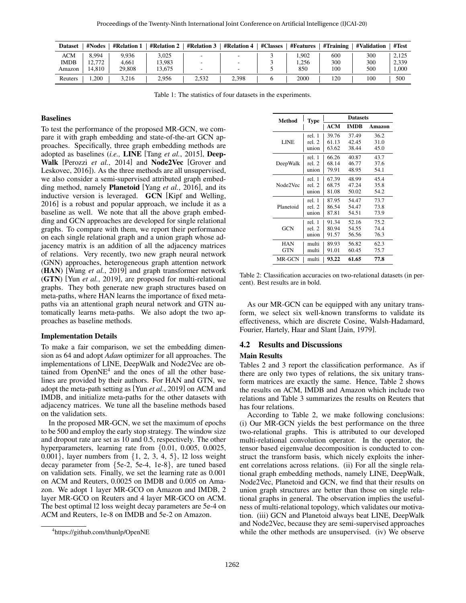<span id="page-4-0"></span>

| <b>Dataset</b> | #Nodes | #Relation 1 | <b>#Relation 2</b> | <b>#Relation 3</b> | <b>#Relation 4</b> | #Classes | <b>#Features</b> | #Training | #Validation | #Test |
|----------------|--------|-------------|--------------------|--------------------|--------------------|----------|------------------|-----------|-------------|-------|
| <b>ACM</b>     | 8.994  | 9.936       | 3.025              |                    | -                  |          | .902             | 600       | 300         | 2.125 |
| <b>IMDB</b>    | 12.772 | 4.661       | 13.983             |                    | -                  |          | 1.256            | 300       | 300         | 2.339 |
| Amazon         | 14.810 | 29,808      | 13.675             |                    | -                  |          | 850              | 100       | 500         | 1.000 |
| Reuters        | ,200   | 3,216       | 2.956              | 2,532              | 2,398              |          | 2000             | 120       | 100         | 500   |

Table 1: The statistics of four datasets in the experiments.

#### Baselines

To test the performance of the proposed MR-GCN, we compare it with graph embedding and state-of-the-art GCN approaches. Specifically, three graph embedding methods are adopted as baselines (*i.e.,* LINE [Tang *et al.*[, 2015\]](#page-6-18), Deep-Walk [\[Perozzi](#page-6-19) *et al.*, 2014] and Node2Vec [\[Grover and](#page-6-20) [Leskovec, 2016\]](#page-6-20)). As the three methods are all unsupervised, we also consider a semi-supervised attributed graph embedding method, namely Planetoid [Yang *et al.*[, 2016\]](#page-6-21), and its inductive version is leveraged. GCN [\[Kipf and Welling,](#page-6-0) [2016\]](#page-6-0) is a robust and popular approach, we include it as a baseline as well. We note that all the above graph embedding and GCN approaches are developed for single relational graphs. To compare with them, we report their performance on each single relational graph and a union graph whose adjacency matrix is an addition of all the adjacency matrices of relations. Very recently, two new graph neural network (GNN) approaches, heterogeneous graph attention network (HAN) [Wang *et al.*[, 2019\]](#page-6-22) and graph transformer network (GTN) [Yun *et al.*[, 2019\]](#page-6-10), are proposed for multi-relational graphs. They both generate new graph structures based on meta-paths, where HAN learns the importance of fixed metapaths via an attentional graph neural network and GTN automatically learns meta-paths. We also adopt the two approaches as baseline methods.

#### Implementation Details

To make a fair comparison, we set the embedding dimension as 64 and adopt *Adam* optimizer for all approaches. The implementations of LINE, DeepWalk and Node2Vec are obtained from  $OpenNE<sup>4</sup>$  $OpenNE<sup>4</sup>$  $OpenNE<sup>4</sup>$  and the ones of all the other baselines are provided by their authors. For HAN and GTN, we adopt the meta-path setting as [Yun *et al.*[, 2019\]](#page-6-10) on ACM and IMDB, and initialize meta-paths for the other datasets with adjacency matrices. We tune all the baseline methods based on the validation sets.

In the proposed MR-GCN, we set the maximum of epochs to be 500 and employ the early stop strategy. The window size and dropout rate are set as 10 and 0.5, respectively. The other hyperparameters, learning rate from  $\{0.01, 0.005, 0.0025,$ 0.001}, layer numbers from {1, 2, 3, 4, 5}, l2 loss weight decay parameter from {5e-2, 5e-4, 1e-8}, are tuned based on validation sets. Finally, we set the learning rate as 0.001 on ACM and Reuters, 0.0025 on IMDB and 0.005 on Amazon. We adopt 1 layer MR-GCO on Amazon and IMDB, 2 layer MR-GCO on Reuters and 4 layer MR-GCO on ACM. The best optimal l2 loss weight decay parameters are 5e-4 on ACM and Reuters, 1e-8 on IMDB and 5e-2 on Amazon.

<span id="page-4-1"></span>

| Method     | Type   | <b>Datasets</b> |             |        |  |  |
|------------|--------|-----------------|-------------|--------|--|--|
|            |        | <b>ACM</b>      | <b>IMDR</b> | Amazon |  |  |
|            | rel. 1 | 39.76           | 37.49       | 36.2   |  |  |
| LINE       | rel. 2 | 61.13           | 42.45       | 31.0   |  |  |
|            | union  | 63.62           | 38.44       | 45.0   |  |  |
|            | rel. 1 | 66.26           | 40.87       | 43.7   |  |  |
| DeepWalk   | rel. 2 | 68.14           | 46.77       | 37.6   |  |  |
|            | union  | 79.91           | 48.95       | 54.1   |  |  |
|            | rel 1  | 67.39           | 48.99       | 45.4   |  |  |
| Node2Vec   | rel. 2 | 68.75           | 47.24       | 35.8   |  |  |
|            | union  | 81.08           | 50.02       | 54.2   |  |  |
|            | rel. 1 | 87.95           | 54.47       | 73.7   |  |  |
| Planetoid  | rel. 2 | 86.54           | 54.47       | 73.8   |  |  |
|            | union  | 87.81           | 54.51       | 73.9   |  |  |
|            | rel. 1 | 91.34           | 52.16       | 75.2   |  |  |
| GCN        | rel. 2 | 80.94           | 54.55       | 74.4   |  |  |
|            | union  | 91.57           | 56.56       | 76.3   |  |  |
| <b>HAN</b> | multi  | 89.93           | 56.82       | 62.3   |  |  |
| <b>GTN</b> | multi  | 91.01           | 60.45       | 75.7   |  |  |
| MR-GCN     | multi  | 93.22           | 61.65       | 77.8   |  |  |

Table 2: Classification accuracies on two-relational datasets (in percent). Best results are in bold.

As our MR-GCN can be equipped with any unitary transform, we select six well-known transforms to validate its effectiveness, which are discrete Cosine, Walsh-Hadamard, Fourier, Hartely, Haar and Slant [\[Jain, 1979\]](#page-6-23).

#### 4.2 Results and Discussions

#### Main Results

Tables [2](#page-4-1) and [3](#page-5-0) report the classification performance. As if there are only two types of relations, the six unitary transform matrices are exactly the same. Hence, Table [2](#page-4-1) shows the results on ACM, IMDB and Amazon which include two relations and Table [3](#page-5-0) summarizes the results on Reuters that has four relations.

According to Table [2,](#page-4-1) we make following conclusions: (i) Our MR-GCN yields the best performance on the three two-relational graphs. This is attributed to our developed multi-relational convolution operator. In the operator, the tensor based eigenvalue decomposition is conducted to construct the transform basis, which nicely exploits the inherent correlations across relations. (ii) For all the single relational graph embedding methods, namely LINE, DeepWalk, Node2Vec, Planetoid and GCN, we find that their results on union graph structures are better than those on single relational graphs in general. The observation implies the usefulness of multi-relational topology, which validates our motivation. (iii) GCN and Planetoid always beat LINE, DeepWalk and Node2Vec, because they are semi-supervised approaches while the other methods are unsupervised. (iv) We observe

<sup>4</sup> https://github.com/thunlp/OpenNE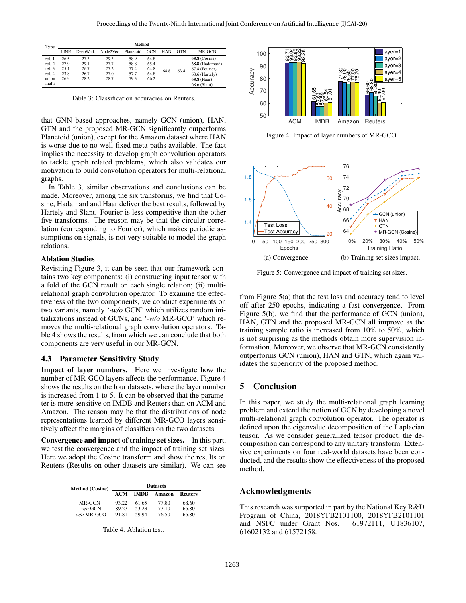<span id="page-5-0"></span>

| <b>Type</b> |                          | Method   |          |           |                          |            |            |                 |  |  |
|-------------|--------------------------|----------|----------|-----------|--------------------------|------------|------------|-----------------|--|--|
|             | <b>LINE</b>              | DeepWalk | Node2Vec | Planetoid | <b>GCN</b>               | <b>HAN</b> | <b>GTN</b> | MR-GCN          |  |  |
| rel. 1      | 26.5                     | 27.3     | 29.3     | 58.9      | 64.8                     |            |            | $68.8$ (Cosine) |  |  |
| rel. 2      | 27.9                     | 29.1     | 27.7     | 58.8      | 65.4                     |            | 63.4       | 68.8 (Hadamard) |  |  |
| rel. 3      | 25.1                     | 26.7     | 27.2     | 57.4      | 64.8                     | 64.8       |            | 67.8 (Fourier)  |  |  |
| rel. 4      | 23.8                     | 26.7     | 27.0     | 57.7      | 64.8                     |            |            | 68.6 (Hartely)  |  |  |
| union       | 26.9                     | 28.2     | 28.7     | 59.3      | 66.2                     |            |            | 68.8 (Haar)     |  |  |
| multi       | $\overline{\phantom{a}}$ |          | ۰        |           | $\overline{\phantom{a}}$ |            |            | 68.6 (Slant)    |  |  |

Table 3: Classification accuracies on Reuters.

that GNN based approaches, namely GCN (union), HAN, GTN and the proposed MR-GCN significantly outperforms Planetoid (union), except for the Amazon dataset where HAN is worse due to no-well-fixed meta-paths available. The fact implies the necessity to develop graph convolution operators to tackle graph related problems, which also validates our motivation to build convolution operators for multi-relational graphs.

In Table [3,](#page-5-0) similar observations and conclusions can be made. Moreover, among the six transforms, we find that Cosine, Hadamard and Haar deliver the best results, followed by Hartely and Slant. Fourier is less competitive than the other five transforms. The reason may be that the circular correlation (corresponding to Fourier), which makes periodic assumptions on signals, is not very suitable to model the graph relations.

#### Ablation Studies

Revisiting Figure [3,](#page-3-0) it can be seen that our framework contains two key components: (i) constructing input tensor with a fold of the GCN result on each single relation; (ii) multirelational graph convolution operator. To examine the effectiveness of the two components, we conduct experiments on two variants, namely *'-w/o* GCN' which utilizes random initializations instead of GCNs, and *'-w/o* MR-GCO' which removes the multi-relational graph convolution operators. Table [4](#page-5-1) shows the results, from which we can conclude that both components are very useful in our MR-GCN.

#### 4.3 Parameter Sensitivity Study

Impact of layer numbers. Here we investigate how the number of MR-GCO layers affects the performance. Figure [4](#page-5-2) shows the results on the four datasets, where the layer number is increased from 1 to 5. It can be observed that the parameter is more sensitive on IMDB and Reuters than on ACM and Amazon. The reason may be that the distributions of node representations learned by different MR-GCO layers sensitively affect the margins of classifiers on the two datasets.

Convergence and impact of training set sizes. In this part, we test the convergence and the impact of training set sizes. Here we adopt the Cosine transform and show the results on Reuters (Results on other datasets are similar). We can see

<span id="page-5-1"></span>

| <b>Method</b> (Cosine) | <b>Datasets</b> |             |        |                |  |  |  |
|------------------------|-----------------|-------------|--------|----------------|--|--|--|
|                        | <b>ACM</b>      | <b>IMDB</b> | Amazon | <b>Reuters</b> |  |  |  |
| MR-GCN                 | 93.22           | 61.65       | 77.80  | 68.60          |  |  |  |
| $-w/a$ GCN             | 89.27           | 53.23       | 77 10  | 66.80          |  |  |  |
| $-w/o$ MR-GCO          | 91.81           | 59.94       | 76.50  | 66.80          |  |  |  |

Table 4: Ablation test.

<span id="page-5-2"></span>

Figure 4: Impact of layer numbers of MR-GCO.

<span id="page-5-3"></span>

Figure 5: Convergence and impact of training set sizes.

from Figure [5\(](#page-5-3)a) that the test loss and accuracy tend to level off after 250 epochs, indicating a fast convergence. From Figure [5\(](#page-5-3)b), we find that the performance of GCN (union), HAN, GTN and the proposed MR-GCN all improve as the training sample ratio is increased from 10% to 50%, which is not surprising as the methods obtain more supervision information. Moreover, we observe that MR-GCN consistently outperforms GCN (union), HAN and GTN, which again validates the superiority of the proposed method.

### 5 Conclusion

In this paper, we study the multi-relational graph learning problem and extend the notion of GCN by developing a novel multi-relational graph convolution operator. The operator is defined upon the eigenvalue decomposition of the Laplacian tensor. As we consider generalized tensor product, the decomposition can correspond to any unitary transform. Extensive experiments on four real-world datasets have been conducted, and the results show the effectiveness of the proposed method.

### Acknowledgments

This research was supported in part by the National Key R&D Program of China, 2018YFB2101100, 2018YFB2101101 and NSFC under Grant Nos. 61972111, U1836107, 61602132 and 61572158.